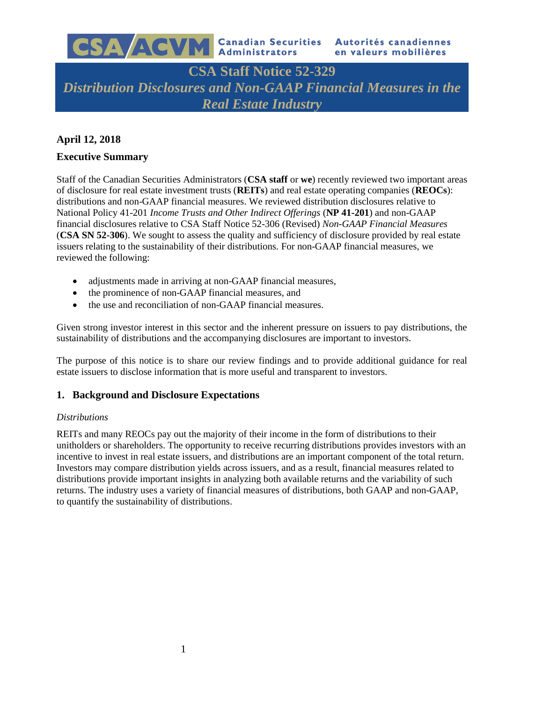

# **CSA Staff Notice 52-329** *Distribution Disclosures and Non-GAAP Financial Measures in the Real Estate Industry*

# **April 12, 2018**

# **Executive Summary**

Staff of the Canadian Securities Administrators (**CSA staff** or **we**) recently reviewed two important areas of disclosure for real estate investment trusts (**REITs**) and real estate operating companies (**REOCs**): distributions and non-GAAP financial measures. We reviewed distribution disclosures relative to National Policy 41-201 *Income Trusts and Other Indirect Offerings* (**NP 41-201**) and non-GAAP financial disclosures relative to CSA Staff Notice 52-306 (Revised) *Non-GAAP Financial Measures* (**CSA SN 52-306**). We sought to assess the quality and sufficiency of disclosure provided by real estate issuers relating to the sustainability of their distributions. For non-GAAP financial measures, we reviewed the following:

- adjustments made in arriving at non-GAAP financial measures,
- the prominence of non-GAAP financial measures, and
- the use and reconciliation of non-GAAP financial measures.

Given strong investor interest in this sector and the inherent pressure on issuers to pay distributions, the sustainability of distributions and the accompanying disclosures are important to investors.

The purpose of this notice is to share our review findings and to provide additional guidance for real estate issuers to disclose information that is more useful and transparent to investors.

# **1. Background and Disclosure Expectations**

#### *Distributions*

REITs and many REOCs pay out the majority of their income in the form of distributions to their unitholders or shareholders. The opportunity to receive recurring distributions provides investors with an incentive to invest in real estate issuers, and distributions are an important component of the total return. Investors may compare distribution yields across issuers, and as a result, financial measures related to distributions provide important insights in analyzing both available returns and the variability of such returns. The industry uses a variety of financial measures of distributions, both GAAP and non-GAAP, to quantify the sustainability of distributions.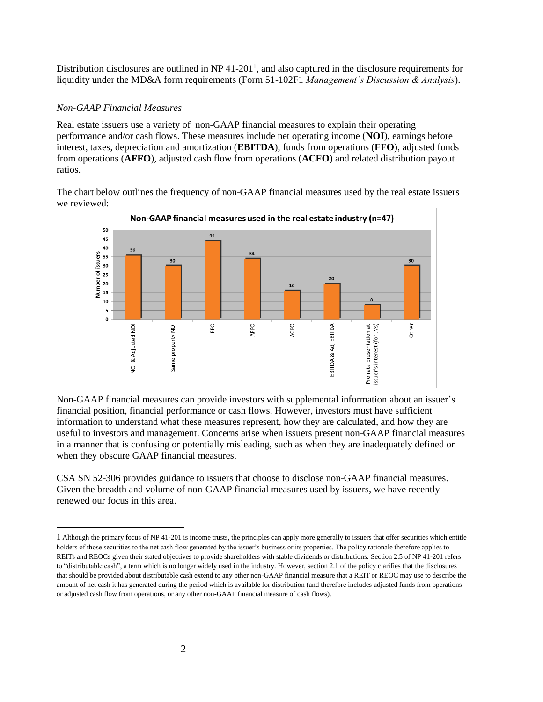Distribution disclosures are outlined in NP 41-201<sup>1</sup>, and also captured in the disclosure requirements for liquidity under the MD&A form requirements (Form 51-102F1 *Management's Discussion & Analysis*).

#### *Non-GAAP Financial Measures*

 $\overline{a}$ 

Real estate issuers use a variety of non-GAAP financial measures to explain their operating performance and/or cash flows. These measures include net operating income (**NOI**), earnings before interest, taxes, depreciation and amortization (**EBITDA**), funds from operations (**FFO**), adjusted funds from operations (**AFFO**), adjusted cash flow from operations (**ACFO**) and related distribution payout ratios.

The chart below outlines the frequency of non-GAAP financial measures used by the real estate issuers we reviewed:



Non-GAAP financial measures used in the real estate industry (n=47)

Non-GAAP financial measures can provide investors with supplemental information about an issuer's financial position, financial performance or cash flows. However, investors must have sufficient information to understand what these measures represent, how they are calculated, and how they are useful to investors and management. Concerns arise when issuers present non-GAAP financial measures in a manner that is confusing or potentially misleading, such as when they are inadequately defined or when they obscure GAAP financial measures.

CSA SN 52-306 provides guidance to issuers that choose to disclose non-GAAP financial measures. Given the breadth and volume of non-GAAP financial measures used by issuers, we have recently renewed our focus in this area.

<sup>1</sup> Although the primary focus of NP 41-201 is income trusts, the principles can apply more generally to issuers that offer securities which entitle holders of those securities to the net cash flow generated by the issuer's business or its properties. The policy rationale therefore applies to REITs and REOCs given their stated objectives to provide shareholders with stable dividends or distributions. Section 2.5 of NP 41-201 refers to "distributable cash", a term which is no longer widely used in the industry. However, section 2.1 of the policy clarifies that the disclosures that should be provided about distributable cash extend to any other non-GAAP financial measure that a REIT or REOC may use to describe the amount of net cash it has generated during the period which is available for distribution (and therefore includes adjusted funds from operations or adjusted cash flow from operations, or any other non-GAAP financial measure of cash flows).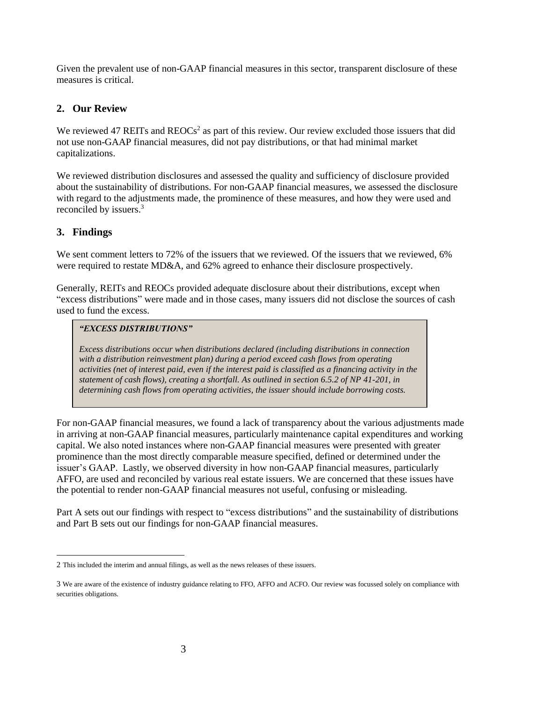Given the prevalent use of non-GAAP financial measures in this sector, transparent disclosure of these measures is critical.

# **2. Our Review**

We reviewed 47 REITs and  $REOCs<sup>2</sup>$  as part of this review. Our review excluded those issuers that did not use non-GAAP financial measures, did not pay distributions, or that had minimal market capitalizations.

We reviewed distribution disclosures and assessed the quality and sufficiency of disclosure provided about the sustainability of distributions. For non-GAAP financial measures, we assessed the disclosure with regard to the adjustments made, the prominence of these measures, and how they were used and reconciled by issuers. 3

# **3. Findings**

 $\overline{a}$ 

We sent comment letters to 72% of the issuers that we reviewed. Of the issuers that we reviewed, 6% were required to restate MD&A, and 62% agreed to enhance their disclosure prospectively.

Generally, REITs and REOCs provided adequate disclosure about their distributions, except when "excess distributions" were made and in those cases, many issuers did not disclose the sources of cash used to fund the excess.

#### *"EXCESS DISTRIBUTIONS"*

*Excess distributions occur when distributions declared (including distributions in connection with a distribution reinvestment plan) during a period exceed cash flows from operating activities (net of interest paid, even if the interest paid is classified as a financing activity in the statement of cash flows), creating a shortfall. As outlined in section 6.5.2 of NP 41-201, in determining cash flows from operating activities, the issuer should include borrowing costs.*

For non-GAAP financial measures, we found a lack of transparency about the various adjustments made in arriving at non-GAAP financial measures, particularly maintenance capital expenditures and working capital. We also noted instances where non-GAAP financial measures were presented with greater prominence than the most directly comparable measure specified, defined or determined under the issuer's GAAP. Lastly, we observed diversity in how non-GAAP financial measures, particularly AFFO, are used and reconciled by various real estate issuers. We are concerned that these issues have the potential to render non-GAAP financial measures not useful, confusing or misleading.

Part A sets out our findings with respect to "excess distributions" and the sustainability of distributions and Part B sets out our findings for non-GAAP financial measures.

<sup>2</sup> This included the interim and annual filings, as well as the news releases of these issuers.

<sup>3</sup> We are aware of the existence of industry guidance relating to FFO, AFFO and ACFO. Our review was focussed solely on compliance with securities obligations.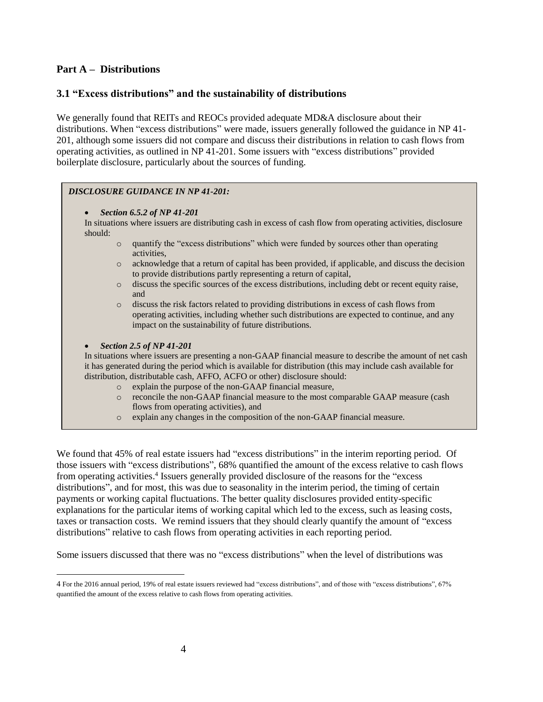# **Part A – Distributions**

### **3.1 "Excess distributions" and the sustainability of distributions**

We generally found that REITs and REOCs provided adequate MD&A disclosure about their distributions. When "excess distributions" were made, issuers generally followed the guidance in NP 41- 201, although some issuers did not compare and discuss their distributions in relation to cash flows from operating activities, as outlined in NP 41-201. Some issuers with "excess distributions" provided boilerplate disclosure, particularly about the sources of funding.

#### *DISCLOSURE GUIDANCE IN NP 41-201:*

• *Section 6.5.2 of NP 41-201*

In situations where issuers are distributing cash in excess of cash flow from operating activities, disclosure should:

- o quantify the "excess distributions" which were funded by sources other than operating activities,
- o acknowledge that a return of capital has been provided, if applicable, and discuss the decision to provide distributions partly representing a return of capital,
- o discuss the specific sources of the excess distributions, including debt or recent equity raise, and
- o discuss the risk factors related to providing distributions in excess of cash flows from operating activities, including whether such distributions are expected to continue, and any impact on the sustainability of future distributions.

#### • *Section 2.5 of NP 41-201*

 $\overline{a}$ 

In situations where issuers are presenting a non-GAAP financial measure to describe the amount of net cash it has generated during the period which is available for distribution (this may include cash available for distribution, distributable cash, AFFO, ACFO or other) disclosure should:

- o explain the purpose of the non-GAAP financial measure,
- o reconcile the non-GAAP financial measure to the most comparable GAAP measure (cash flows from operating activities), and
- o explain any changes in the composition of the non-GAAP financial measure.

We found that 45% of real estate issuers had "excess distributions" in the interim reporting period. Of those issuers with "excess distributions", 68% quantified the amount of the excess relative to cash flows from operating activities. 4 Issuers generally provided disclosure of the reasons for the "excess distributions", and for most, this was due to seasonality in the interim period, the timing of certain payments or working capital fluctuations. The better quality disclosures provided entity-specific explanations for the particular items of working capital which led to the excess, such as leasing costs, taxes or transaction costs. We remind issuers that they should clearly quantify the amount of "excess distributions" relative to cash flows from operating activities in each reporting period.

Some issuers discussed that there was no "excess distributions" when the level of distributions was

<sup>4</sup> For the 2016 annual period, 19% of real estate issuers reviewed had "excess distributions", and of those with "excess distributions", 67% quantified the amount of the excess relative to cash flows from operating activities.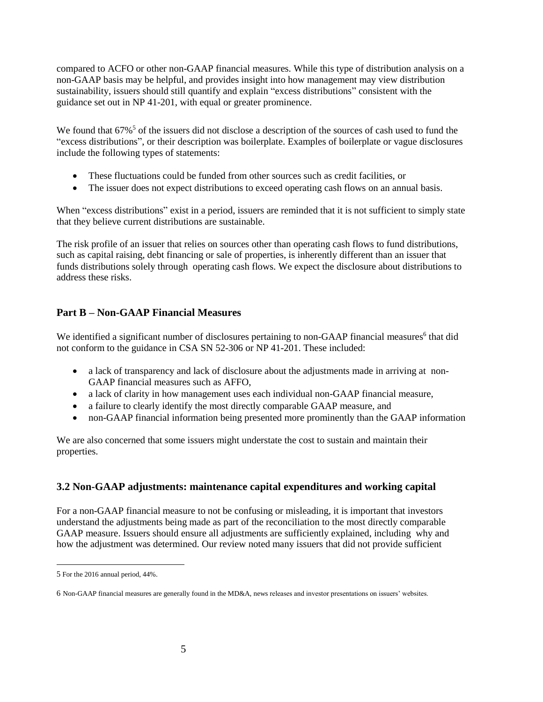compared to ACFO or other non-GAAP financial measures. While this type of distribution analysis on a non-GAAP basis may be helpful, and provides insight into how management may view distribution sustainability, issuers should still quantify and explain "excess distributions" consistent with the guidance set out in NP 41-201, with equal or greater prominence.

We found that  $67\%$ <sup>5</sup> of the issuers did not disclose a description of the sources of cash used to fund the "excess distributions", or their description was boilerplate. Examples of boilerplate or vague disclosures include the following types of statements:

- These fluctuations could be funded from other sources such as credit facilities, or
- The issuer does not expect distributions to exceed operating cash flows on an annual basis.

When "excess distributions" exist in a period, issuers are reminded that it is not sufficient to simply state that they believe current distributions are sustainable.

The risk profile of an issuer that relies on sources other than operating cash flows to fund distributions, such as capital raising, debt financing or sale of properties, is inherently different than an issuer that funds distributions solely through operating cash flows. We expect the disclosure about distributions to address these risks.

# **Part B – Non-GAAP Financial Measures**

We identified a significant number of disclosures pertaining to non-GAAP financial measures<sup>6</sup> that did not conform to the guidance in CSA SN 52-306 or NP 41-201. These included:

- a lack of transparency and lack of disclosure about the adjustments made in arriving at non-GAAP financial measures such as AFFO,
- a lack of clarity in how management uses each individual non-GAAP financial measure,
- a failure to clearly identify the most directly comparable GAAP measure, and
- non-GAAP financial information being presented more prominently than the GAAP information

We are also concerned that some issuers might understate the cost to sustain and maintain their properties.

# **3.2 Non-GAAP adjustments: maintenance capital expenditures and working capital**

For a non-GAAP financial measure to not be confusing or misleading, it is important that investors understand the adjustments being made as part of the reconciliation to the most directly comparable GAAP measure. Issuers should ensure all adjustments are sufficiently explained, including why and how the adjustment was determined. Our review noted many issuers that did not provide sufficient

 $\overline{a}$ 

<sup>5</sup> For the 2016 annual period, 44%.

<sup>6</sup> Non-GAAP financial measures are generally found in the MD&A, news releases and investor presentations on issuers' websites.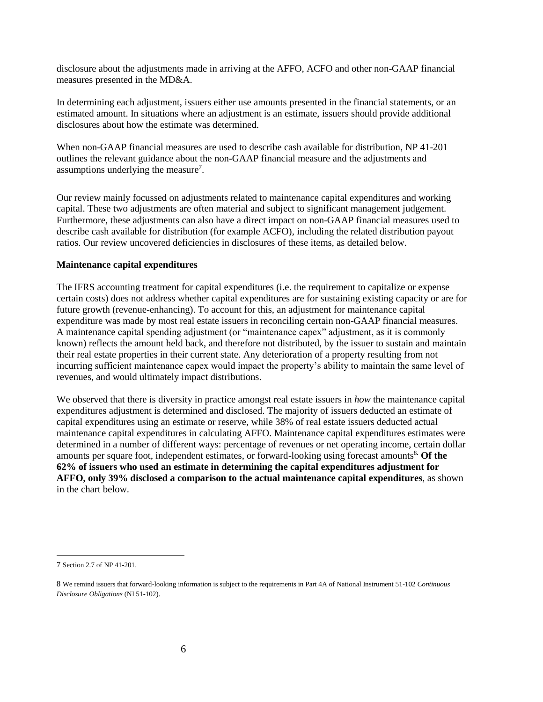disclosure about the adjustments made in arriving at the AFFO, ACFO and other non-GAAP financial measures presented in the MD&A.

In determining each adjustment, issuers either use amounts presented in the financial statements, or an estimated amount. In situations where an adjustment is an estimate, issuers should provide additional disclosures about how the estimate was determined.

When non-GAAP financial measures are used to describe cash available for distribution, NP 41-201 outlines the relevant guidance about the non-GAAP financial measure and the adjustments and assumptions underlying the measure<sup>7</sup>.

Our review mainly focussed on adjustments related to maintenance capital expenditures and working capital. These two adjustments are often material and subject to significant management judgement. Furthermore, these adjustments can also have a direct impact on non-GAAP financial measures used to describe cash available for distribution (for example ACFO), including the related distribution payout ratios. Our review uncovered deficiencies in disclosures of these items, as detailed below.

#### **Maintenance capital expenditures**

The IFRS accounting treatment for capital expenditures (i.e. the requirement to capitalize or expense certain costs) does not address whether capital expenditures are for sustaining existing capacity or are for future growth (revenue-enhancing). To account for this, an adjustment for maintenance capital expenditure was made by most real estate issuers in reconciling certain non-GAAP financial measures. A maintenance capital spending adjustment (or "maintenance capex" adjustment, as it is commonly known) reflects the amount held back, and therefore not distributed, by the issuer to sustain and maintain their real estate properties in their current state. Any deterioration of a property resulting from not incurring sufficient maintenance capex would impact the property's ability to maintain the same level of revenues, and would ultimately impact distributions.

We observed that there is diversity in practice amongst real estate issuers in *how* the maintenance capital expenditures adjustment is determined and disclosed. The majority of issuers deducted an estimate of capital expenditures using an estimate or reserve, while 38% of real estate issuers deducted actual maintenance capital expenditures in calculating AFFO. Maintenance capital expenditures estimates were determined in a number of different ways: percentage of revenues or net operating income, certain dollar amounts per square foot, independent estimates, or forward-looking using forecast amounts<sup>8</sup>. Of the **62% of issuers who used an estimate in determining the capital expenditures adjustment for AFFO, only 39% disclosed a comparison to the actual maintenance capital expenditures**, as shown in the chart below.

 $\overline{a}$ 

<sup>7</sup> Section 2.7 of NP 41-201.

<sup>8</sup> We remind issuers that forward-looking information is subject to the requirements in Part 4A of National Instrument 51-102 *Continuous Disclosure Obligations* (NI 51-102).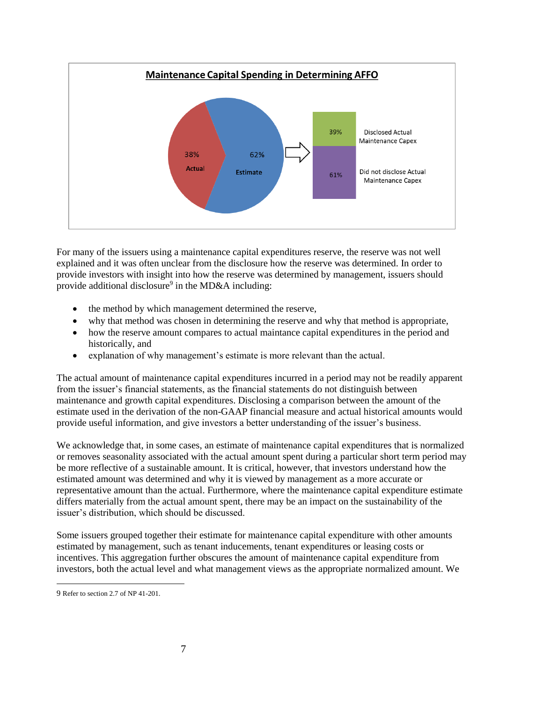

For many of the issuers using a maintenance capital expenditures reserve, the reserve was not well explained and it was often unclear from the disclosure how the reserve was determined. In order to provide investors with insight into how the reserve was determined by management, issuers should provide additional disclosure<sup>9</sup> in the MD&A including:

- the method by which management determined the reserve,
- why that method was chosen in determining the reserve and why that method is appropriate,
- how the reserve amount compares to actual maintance capital expenditures in the period and historically, and
- explanation of why management's estimate is more relevant than the actual.

The actual amount of maintenance capital expenditures incurred in a period may not be readily apparent from the issuer's financial statements, as the financial statements do not distinguish between maintenance and growth capital expenditures. Disclosing a comparison between the amount of the estimate used in the derivation of the non-GAAP financial measure and actual historical amounts would provide useful information, and give investors a better understanding of the issuer's business.

We acknowledge that, in some cases, an estimate of maintenance capital expenditures that is normalized or removes seasonality associated with the actual amount spent during a particular short term period may be more reflective of a sustainable amount. It is critical, however, that investors understand how the estimated amount was determined and why it is viewed by management as a more accurate or representative amount than the actual. Furthermore, where the maintenance capital expenditure estimate differs materially from the actual amount spent, there may be an impact on the sustainability of the issuer's distribution, which should be discussed.

Some issuers grouped together their estimate for maintenance capital expenditure with other amounts estimated by management, such as tenant inducements, tenant expenditures or leasing costs or incentives. This aggregation further obscures the amount of maintenance capital expenditure from investors, both the actual level and what management views as the appropriate normalized amount. We

 $\overline{a}$ 

<sup>9</sup> Refer to section 2.7 of NP 41-201.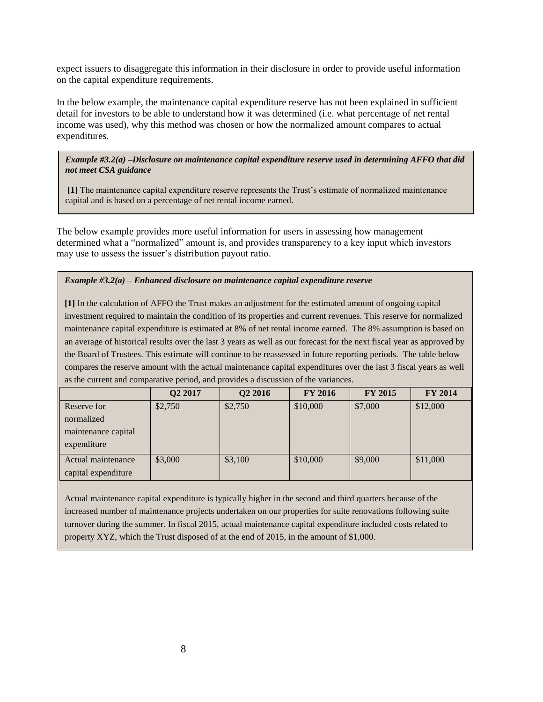expect issuers to disaggregate this information in their disclosure in order to provide useful information on the capital expenditure requirements.

In the below example, the maintenance capital expenditure reserve has not been explained in sufficient detail for investors to be able to understand how it was determined (i.e. what percentage of net rental income was used), why this method was chosen or how the normalized amount compares to actual expenditures.

*Example #3.2(a) –Disclosure on maintenance capital expenditure reserve used in determining AFFO that did not meet CSA guidance*

**[1]** The maintenance capital expenditure reserve represents the Trust's estimate of normalized maintenance capital and is based on a percentage of net rental income earned.

The below example provides more useful information for users in assessing how management determined what a "normalized" amount is, and provides transparency to a key input which investors may use to assess the issuer's distribution payout ratio.

#### *Example #3.2(a) – Enhanced disclosure on maintenance capital expenditure reserve*

**[1]** In the calculation of AFFO the Trust makes an adjustment for the estimated amount of ongoing capital investment required to maintain the condition of its properties and current revenues. This reserve for normalized maintenance capital expenditure is estimated at 8% of net rental income earned. The 8% assumption is based on an average of historical results over the last 3 years as well as our forecast for the next fiscal year as approved by the Board of Trustees. This estimate will continue to be reassessed in future reporting periods. The table below compares the reserve amount with the actual maintenance capital expenditures over the last 3 fiscal years as well as the current and comparative period, and provides a discussion of the variances.

|                     | Q2 2017 | Q <sub>2</sub> 2016 | <b>FY 2016</b> | <b>FY 2015</b> | <b>FY 2014</b> |
|---------------------|---------|---------------------|----------------|----------------|----------------|
| Reserve for         | \$2,750 | \$2,750             | \$10,000       | \$7,000        | \$12,000       |
| normalized          |         |                     |                |                |                |
| maintenance capital |         |                     |                |                |                |
| expenditure         |         |                     |                |                |                |
| Actual maintenance  | \$3,000 | \$3,100             | \$10,000       | \$9,000        | \$11,000       |
| capital expenditure |         |                     |                |                |                |

Actual maintenance capital expenditure is typically higher in the second and third quarters because of the increased number of maintenance projects undertaken on our properties for suite renovations following suite turnover during the summer. In fiscal 2015, actual maintenance capital expenditure included costs related to property XYZ, which the Trust disposed of at the end of 2015, in the amount of \$1,000.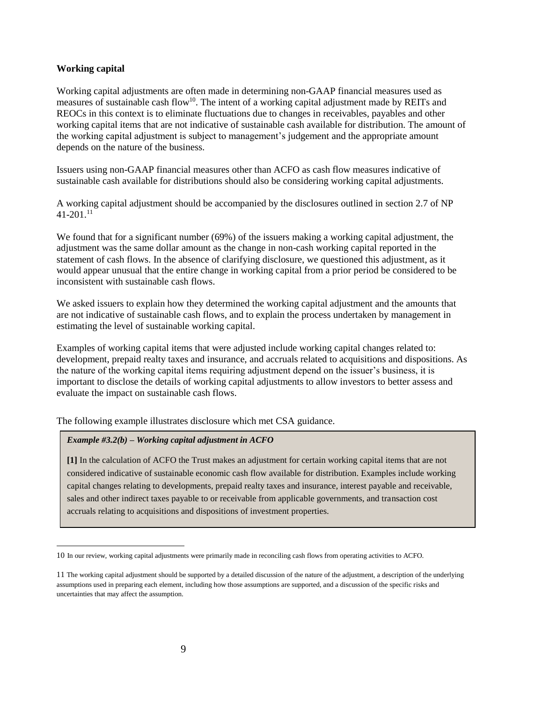#### **Working capital**

 $\overline{a}$ 

Working capital adjustments are often made in determining non-GAAP financial measures used as measures of sustainable cash flow<sup>10</sup>. The intent of a working capital adjustment made by REITs and REOCs in this context is to eliminate fluctuations due to changes in receivables, payables and other working capital items that are not indicative of sustainable cash available for distribution. The amount of the working capital adjustment is subject to management's judgement and the appropriate amount depends on the nature of the business.

Issuers using non-GAAP financial measures other than ACFO as cash flow measures indicative of sustainable cash available for distributions should also be considering working capital adjustments.

A working capital adjustment should be accompanied by the disclosures outlined in section 2.7 of NP  $41-201$ <sup>11</sup>

We found that for a significant number (69%) of the issuers making a working capital adjustment, the adjustment was the same dollar amount as the change in non-cash working capital reported in the statement of cash flows. In the absence of clarifying disclosure, we questioned this adjustment, as it would appear unusual that the entire change in working capital from a prior period be considered to be inconsistent with sustainable cash flows.

We asked issuers to explain how they determined the working capital adjustment and the amounts that are not indicative of sustainable cash flows, and to explain the process undertaken by management in estimating the level of sustainable working capital.

Examples of working capital items that were adjusted include working capital changes related to: development, prepaid realty taxes and insurance, and accruals related to acquisitions and dispositions. As the nature of the working capital items requiring adjustment depend on the issuer's business, it is important to disclose the details of working capital adjustments to allow investors to better assess and evaluate the impact on sustainable cash flows.

The following example illustrates disclosure which met CSA guidance.

#### *Example #3.2(b) – Working capital adjustment in ACFO*

**[1]** In the calculation of ACFO the Trust makes an adjustment for certain working capital items that are not considered indicative of sustainable economic cash flow available for distribution. Examples include working capital changes relating to developments, prepaid realty taxes and insurance, interest payable and receivable, sales and other indirect taxes payable to or receivable from applicable governments, and transaction cost accruals relating to acquisitions and dispositions of investment properties.

<sup>10</sup> In our review, working capital adjustments were primarily made in reconciling cash flows from operating activities to ACFO.

<sup>11</sup> The working capital adjustment should be supported by a detailed discussion of the nature of the adjustment, a description of the underlying assumptions used in preparing each element, including how those assumptions are supported, and a discussion of the specific risks and uncertainties that may affect the assumption.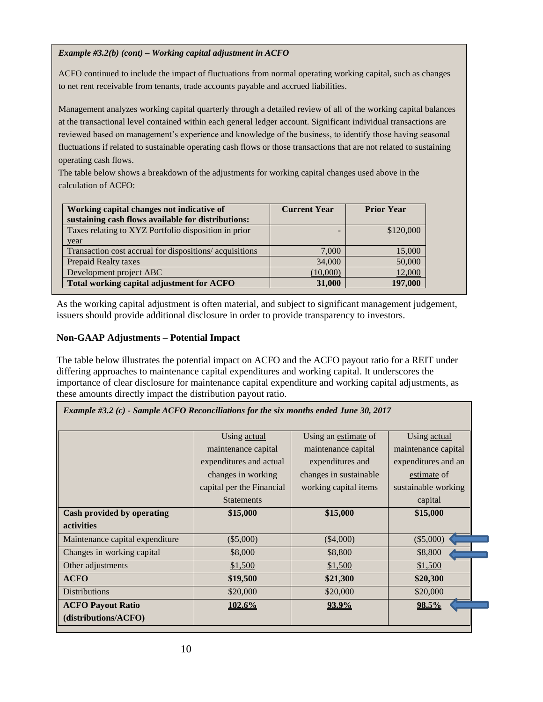#### *Example #3.2(b) (cont) – Working capital adjustment in ACFO*

ACFO continued to include the impact of fluctuations from normal operating working capital, such as changes to net rent receivable from tenants, trade accounts payable and accrued liabilities.

Management analyzes working capital quarterly through a detailed review of all of the working capital balances at the transactional level contained within each general ledger account. Significant individual transactions are reviewed based on management's experience and knowledge of the business, to identify those having seasonal fluctuations if related to sustainable operating cash flows or those transactions that are not related to sustaining operating cash flows.

The table below shows a breakdown of the adjustments for working capital changes used above in the calculation of ACFO:

| Working capital changes not indicative of<br>sustaining cash flows available for distributions: | <b>Current Year</b> | <b>Prior Year</b> |
|-------------------------------------------------------------------------------------------------|---------------------|-------------------|
| Taxes relating to XYZ Portfolio disposition in prior                                            |                     | \$120,000         |
| year                                                                                            |                     |                   |
| Transaction cost accrual for dispositions/acquisitions                                          | 7,000               | 15,000            |
| <b>Prepaid Realty taxes</b>                                                                     | 34,000              | 50,000            |
| Development project ABC                                                                         | (10,000)            | 12,000            |
| Total working capital adjustment for ACFO                                                       | 31,000              | 197,000           |

As the working capital adjustment is often material, and subject to significant management judgement, issuers should provide additional disclosure in order to provide transparency to investors.

## **Non-GAAP Adjustments – Potential Impact**

The table below illustrates the potential impact on ACFO and the ACFO payout ratio for a REIT under differing approaches to maintenance capital expenditures and working capital. It underscores the importance of clear disclosure for maintenance capital expenditure and working capital adjustments, as these amounts directly impact the distribution payout ratio.

*Example #3.2 (c) - Sample ACFO Reconciliations for the six months ended June 30, 2017*

| <b>Example #3.2</b> (C) - Sample ACT O Reconculations for the six months ended June 30, 2017 |                           |                        |                     |  |
|----------------------------------------------------------------------------------------------|---------------------------|------------------------|---------------------|--|
|                                                                                              | Using actual              | Using an estimate of   | Using actual        |  |
|                                                                                              | maintenance capital       | maintenance capital    | maintenance capital |  |
|                                                                                              | expenditures and actual   | expenditures and       | expenditures and an |  |
|                                                                                              | changes in working        | changes in sustainable | estimate of         |  |
|                                                                                              | capital per the Financial | working capital items  | sustainable working |  |
|                                                                                              | <b>Statements</b>         |                        | capital             |  |
| Cash provided by operating                                                                   | \$15,000                  | \$15,000               | \$15,000            |  |
| <b>activities</b>                                                                            |                           |                        |                     |  |
| Maintenance capital expenditure                                                              | $(\$5,000)$               | $(\$4,000)$            | $(\$5,000)$         |  |
| Changes in working capital                                                                   | \$8,000                   | \$8,800                | \$8,800             |  |
| Other adjustments                                                                            | \$1,500                   | \$1,500                | \$1,500             |  |
| <b>ACFO</b>                                                                                  | \$19,500                  | \$21,300               | \$20,300            |  |
| <b>Distributions</b>                                                                         | \$20,000                  | \$20,000               | \$20,000            |  |
| <b>ACFO Payout Ratio</b>                                                                     | 102.6%                    | 93.9%                  | 98.5%               |  |
| (distributions/ACFO)                                                                         |                           |                        |                     |  |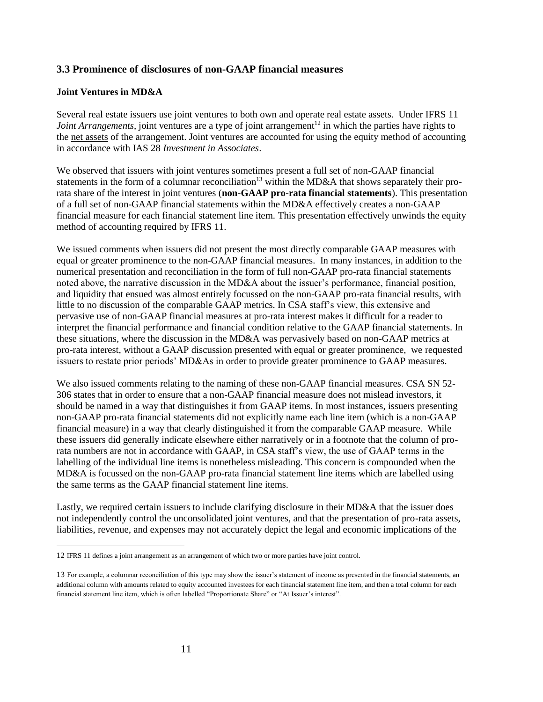# **3.3 Prominence of disclosures of non-GAAP financial measures**

#### **Joint Ventures in MD&A**

 $\overline{a}$ 

Several real estate issuers use joint ventures to both own and operate real estate assets. Under IFRS 11 *Joint Arrangements*, joint ventures are a type of joint arrangement<sup>12</sup> in which the parties have rights to the net assets of the arrangement. Joint ventures are accounted for using the equity method of accounting in accordance with IAS 28 *Investment in Associates*.

We observed that issuers with joint ventures sometimes present a full set of non-GAAP financial statements in the form of a columnar reconciliation<sup>13</sup> within the MD&A that shows separately their prorata share of the interest in joint ventures (**non-GAAP pro-rata financial statements**). This presentation of a full set of non-GAAP financial statements within the MD&A effectively creates a non-GAAP financial measure for each financial statement line item. This presentation effectively unwinds the equity method of accounting required by IFRS 11.

We issued comments when issuers did not present the most directly comparable GAAP measures with equal or greater prominence to the non-GAAP financial measures. In many instances, in addition to the numerical presentation and reconciliation in the form of full non-GAAP pro-rata financial statements noted above, the narrative discussion in the MD&A about the issuer's performance, financial position, and liquidity that ensued was almost entirely focussed on the non-GAAP pro-rata financial results, with little to no discussion of the comparable GAAP metrics. In CSA staff's view, this extensive and pervasive use of non-GAAP financial measures at pro-rata interest makes it difficult for a reader to interpret the financial performance and financial condition relative to the GAAP financial statements. In these situations, where the discussion in the MD&A was pervasively based on non-GAAP metrics at pro-rata interest, without a GAAP discussion presented with equal or greater prominence, we requested issuers to restate prior periods' MD&As in order to provide greater prominence to GAAP measures.

We also issued comments relating to the naming of these non-GAAP financial measures. CSA SN 52-306 states that in order to ensure that a non-GAAP financial measure does not mislead investors, it should be named in a way that distinguishes it from GAAP items. In most instances, issuers presenting non-GAAP pro-rata financial statements did not explicitly name each line item (which is a non-GAAP financial measure) in a way that clearly distinguished it from the comparable GAAP measure. While these issuers did generally indicate elsewhere either narratively or in a footnote that the column of prorata numbers are not in accordance with GAAP, in CSA staff's view, the use of GAAP terms in the labelling of the individual line items is nonetheless misleading. This concern is compounded when the MD&A is focussed on the non-GAAP pro-rata financial statement line items which are labelled using the same terms as the GAAP financial statement line items.

Lastly, we required certain issuers to include clarifying disclosure in their MD&A that the issuer does not independently control the unconsolidated joint ventures, and that the presentation of pro-rata assets, liabilities, revenue, and expenses may not accurately depict the legal and economic implications of the

<sup>12</sup> IFRS 11 defines a joint arrangement as an arrangement of which two or more parties have joint control.

<sup>13</sup> For example, a columnar reconciliation of this type may show the issuer's statement of income as presented in the financial statements, an additional column with amounts related to equity accounted investees for each financial statement line item, and then a total column for each financial statement line item, which is often labelled "Proportionate Share" or "At Issuer's interest".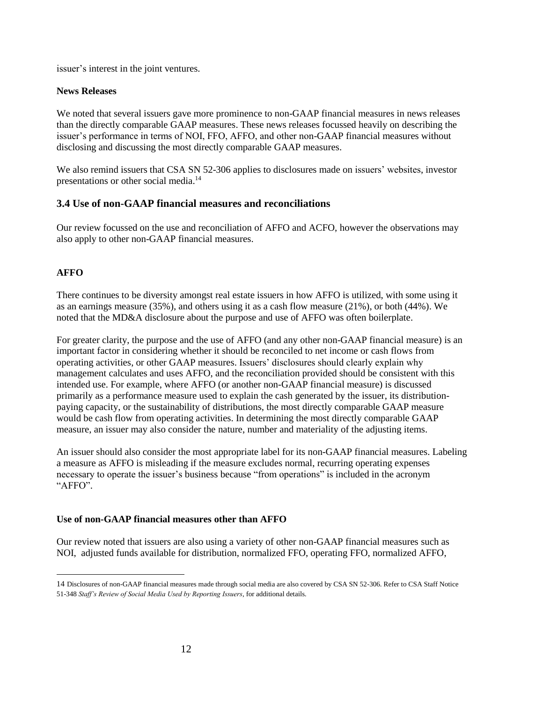issuer's interest in the joint ventures.

#### **News Releases**

We noted that several issuers gave more prominence to non-GAAP financial measures in news releases than the directly comparable GAAP measures. These news releases focussed heavily on describing the issuer's performance in terms of NOI, FFO, AFFO, and other non-GAAP financial measures without disclosing and discussing the most directly comparable GAAP measures.

We also remind issuers that CSA SN 52-306 applies to disclosures made on issuers' websites, investor presentations or other social media.<sup>14</sup>

## **3.4 Use of non-GAAP financial measures and reconciliations**

Our review focussed on the use and reconciliation of AFFO and ACFO, however the observations may also apply to other non-GAAP financial measures.

# **AFFO**

 $\overline{a}$ 

There continues to be diversity amongst real estate issuers in how AFFO is utilized, with some using it as an earnings measure (35%), and others using it as a cash flow measure (21%), or both (44%). We noted that the MD&A disclosure about the purpose and use of AFFO was often boilerplate.

For greater clarity, the purpose and the use of AFFO (and any other non-GAAP financial measure) is an important factor in considering whether it should be reconciled to net income or cash flows from operating activities, or other GAAP measures. Issuers' disclosures should clearly explain why management calculates and uses AFFO, and the reconciliation provided should be consistent with this intended use. For example, where AFFO (or another non-GAAP financial measure) is discussed primarily as a performance measure used to explain the cash generated by the issuer, its distributionpaying capacity, or the sustainability of distributions, the most directly comparable GAAP measure would be cash flow from operating activities. In determining the most directly comparable GAAP measure, an issuer may also consider the nature, number and materiality of the adjusting items.

An issuer should also consider the most appropriate label for its non-GAAP financial measures. Labeling a measure as AFFO is misleading if the measure excludes normal, recurring operating expenses necessary to operate the issuer's business because "from operations" is included in the acronym "AFFO".

#### **Use of non-GAAP financial measures other than AFFO**

Our review noted that issuers are also using a variety of other non-GAAP financial measures such as NOI, adjusted funds available for distribution, normalized FFO, operating FFO, normalized AFFO,

<sup>14</sup> Disclosures of non-GAAP financial measures made through social media are also covered by CSA SN 52-306. Refer to CSA Staff Notice 51-348 *Staff's Review of Social Media Used by Reporting Issuers*, for additional details*.*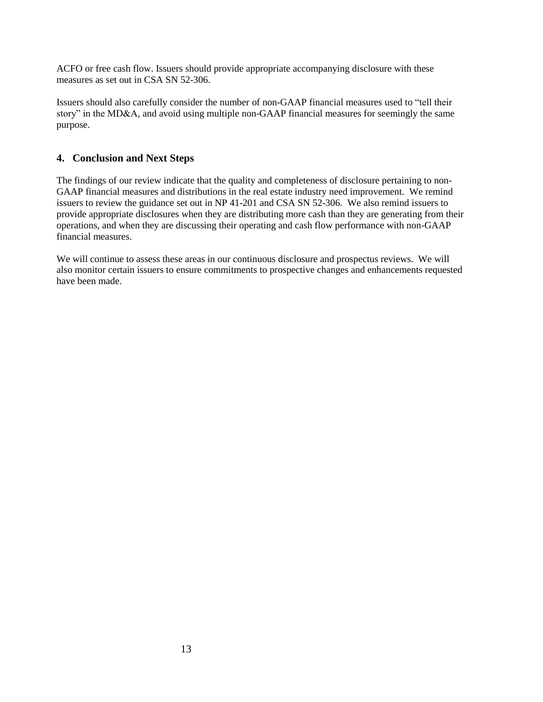ACFO or free cash flow. Issuers should provide appropriate accompanying disclosure with these measures as set out in CSA SN 52-306.

Issuers should also carefully consider the number of non-GAAP financial measures used to "tell their story" in the MD&A, and avoid using multiple non-GAAP financial measures for seemingly the same purpose.

# **4. Conclusion and Next Steps**

The findings of our review indicate that the quality and completeness of disclosure pertaining to non-GAAP financial measures and distributions in the real estate industry need improvement. We remind issuers to review the guidance set out in NP 41-201 and CSA SN 52-306. We also remind issuers to provide appropriate disclosures when they are distributing more cash than they are generating from their operations, and when they are discussing their operating and cash flow performance with non-GAAP financial measures.

We will continue to assess these areas in our continuous disclosure and prospectus reviews. We will also monitor certain issuers to ensure commitments to prospective changes and enhancements requested have been made.